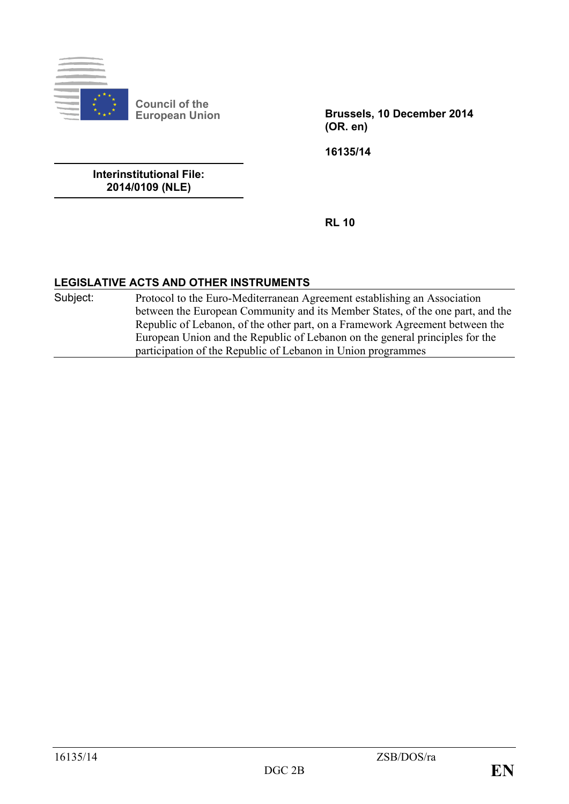

**Council of the**

**European Union Brussels, 10 December 2014 (OR. en)**

**16135/14**

**Interinstitutional File: 2014/0109 (NLE)**

**RL 10**

### **LEGISLATIVE ACTS AND OTHER INSTRUMENTS**

Subject: Protocol to the Euro-Mediterranean Agreement establishing an Association between the European Community and its Member States, of the one part, and the Republic of Lebanon, of the other part, on a Framework Agreement between the European Union and the Republic of Lebanon on the general principles for the participation of the Republic of Lebanon in Union programmes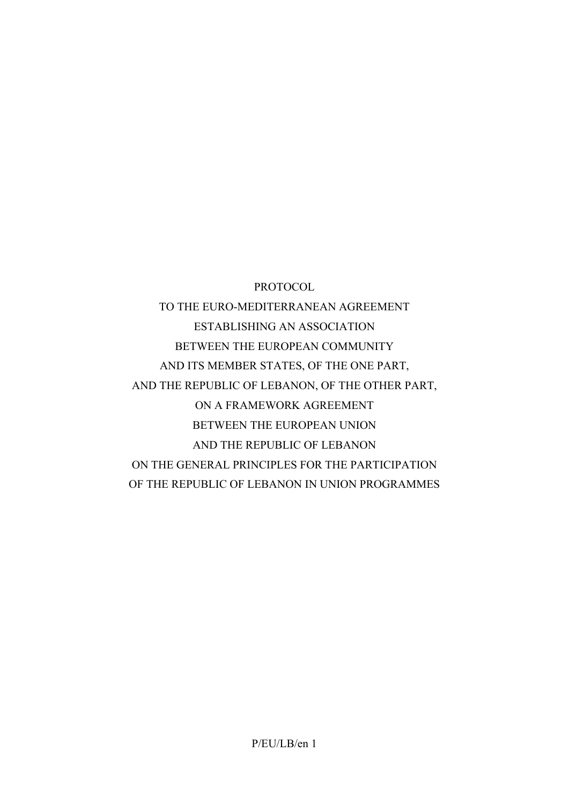### PROTOCOL

TO THE EURO-MEDITERRANEAN AGREEMENT ESTABLISHING AN ASSOCIATION BETWEEN THE EUROPEAN COMMUNITY AND ITS MEMBER STATES, OF THE ONE PART, AND THE REPUBLIC OF LEBANON, OF THE OTHER PART, ON A FRAMEWORK AGREEMENT BETWEEN THE EUROPEAN UNION AND THE REPUBLIC OF LEBANON ON THE GENERAL PRINCIPLES FOR THE PARTICIPATION OF THE REPUBLIC OF LEBANON IN UNION PROGRAMMES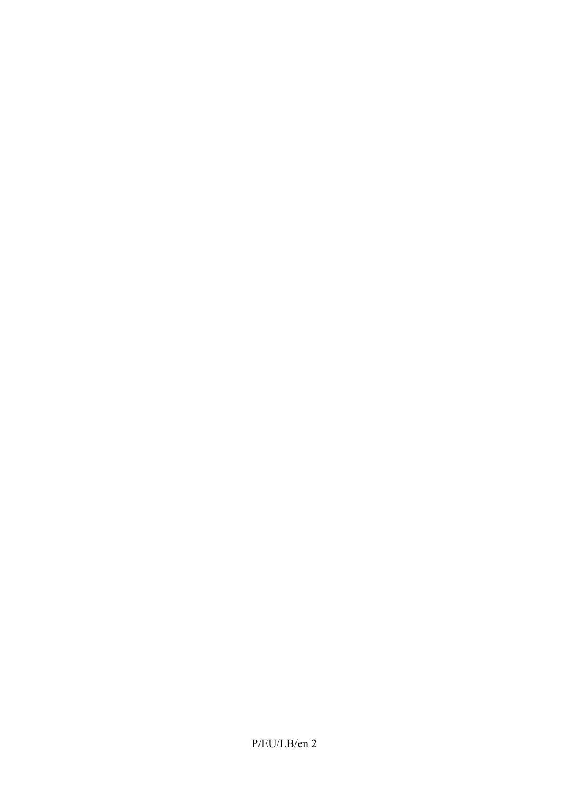P/EU/LB/en 2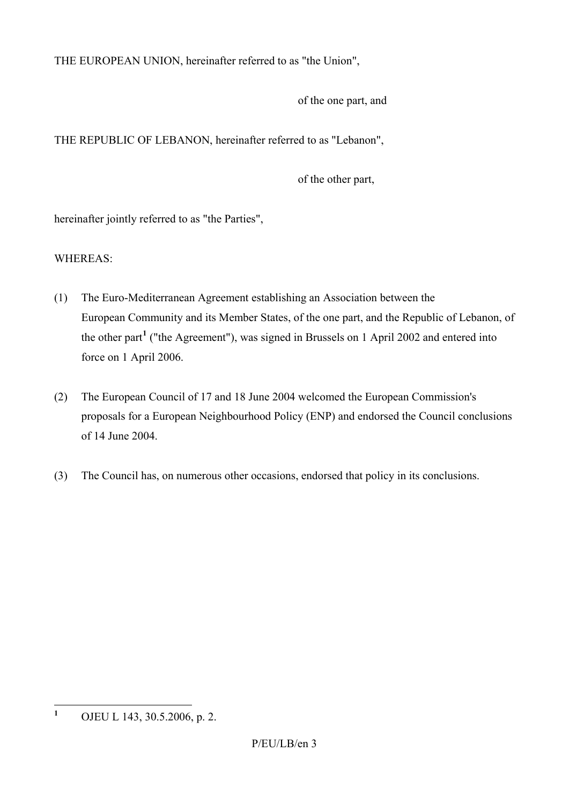THE EUROPEAN UNION, hereinafter referred to as "the Union",

of the one part, and

THE REPUBLIC OF LEBANON, hereinafter referred to as "Lebanon",

of the other part,

hereinafter jointly referred to as "the Parties",

# WHEREAS:

- (1) The Euro-Mediterranean Agreement establishing an Association between the European Community and its Member States, of the one part, and the Republic of Lebanon, of the other part**[1](#page-3-0)** ("the Agreement"), was signed in Brussels on 1 April 2002 and entered into force on 1 April 2006.
- (2) The European Council of 17 and 18 June 2004 welcomed the European Commission's proposals for a European Neighbourhood Policy (ENP) and endorsed the Council conclusions of 14 June 2004.
- (3) The Council has, on numerous other occasions, endorsed that policy in its conclusions.

<span id="page-3-0"></span>**<sup>1</sup>** OJEU L 143, 30.5.2006, p. 2.  $\mathbf 1$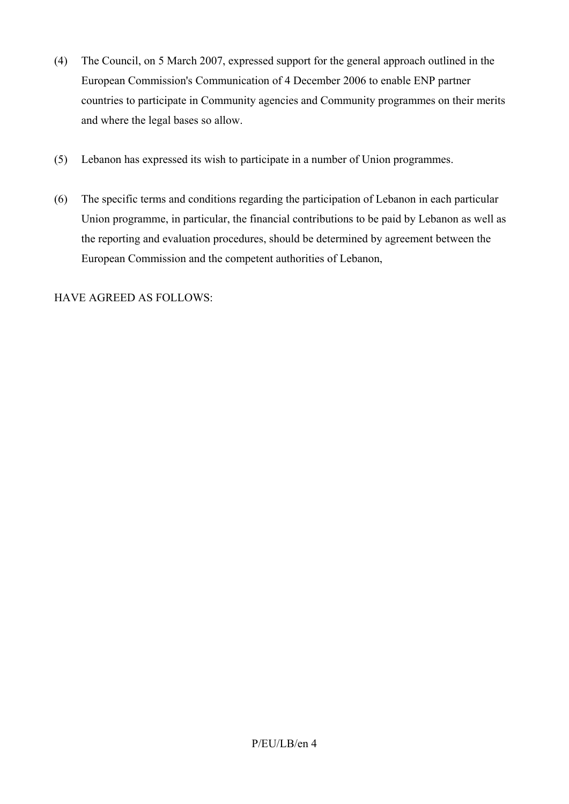- (4) The Council, on 5 March 2007, expressed support for the general approach outlined in the European Commission's Communication of 4 December 2006 to enable ENP partner countries to participate in Community agencies and Community programmes on their merits and where the legal bases so allow.
- (5) Lebanon has expressed its wish to participate in a number of Union programmes.
- (6) The specific terms and conditions regarding the participation of Lebanon in each particular Union programme, in particular, the financial contributions to be paid by Lebanon as well as the reporting and evaluation procedures, should be determined by agreement between the European Commission and the competent authorities of Lebanon,

# HAVE AGREED AS FOLLOWS: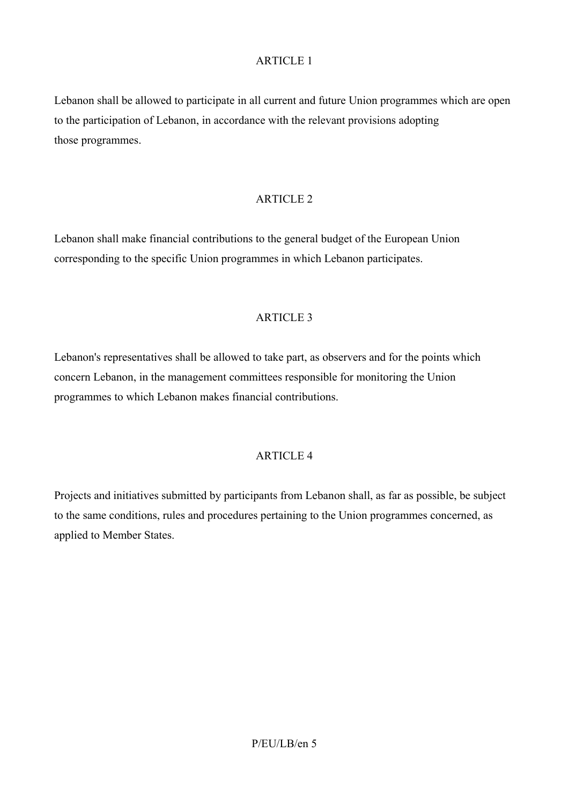### ARTICLE 1

Lebanon shall be allowed to participate in all current and future Union programmes which are open to the participation of Lebanon, in accordance with the relevant provisions adopting those programmes.

#### ARTICLE 2

Lebanon shall make financial contributions to the general budget of the European Union corresponding to the specific Union programmes in which Lebanon participates.

#### ARTICLE 3

Lebanon's representatives shall be allowed to take part, as observers and for the points which concern Lebanon, in the management committees responsible for monitoring the Union programmes to which Lebanon makes financial contributions.

#### ARTICLE 4

Projects and initiatives submitted by participants from Lebanon shall, as far as possible, be subject to the same conditions, rules and procedures pertaining to the Union programmes concerned, as applied to Member States.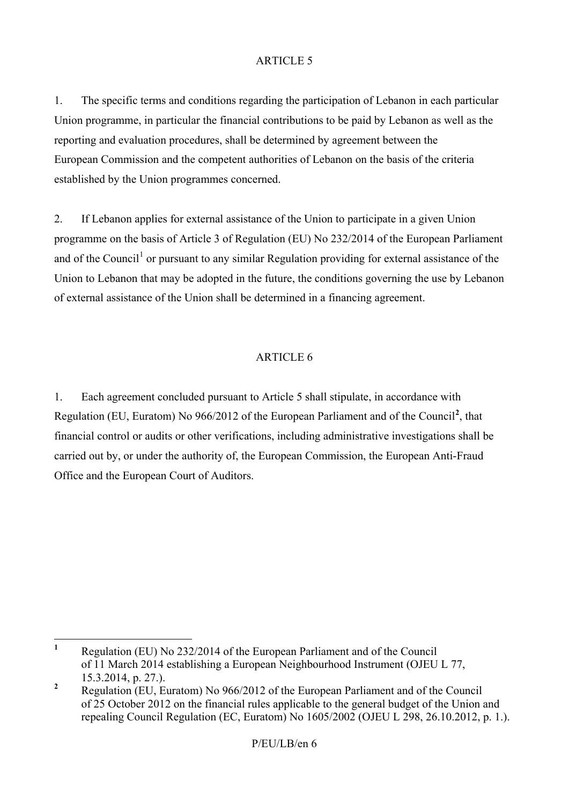### ARTICLE 5

1. The specific terms and conditions regarding the participation of Lebanon in each particular Union programme, in particular the financial contributions to be paid by Lebanon as well as the reporting and evaluation procedures, shall be determined by agreement between the European Commission and the competent authorities of Lebanon on the basis of the criteria established by the Union programmes concerned.

2. If Lebanon applies for external assistance of the Union to participate in a given Union programme on the basis of Article 3 of Regulation (EU) No 232/2014 of the European Parliament and of the Council<sup>[1](#page-6-0)</sup> or pursuant to any similar Regulation providing for external assistance of the Union to Lebanon that may be adopted in the future, the conditions governing the use by Lebanon of external assistance of the Union shall be determined in a financing agreement.

# ARTICLE 6

1. Each agreement concluded pursuant to Article 5 shall stipulate, in accordance with Regulation (EU, Euratom) No 966/[2](#page-6-1)012 of the European Parliament and of the Council<sup>2</sup>, that financial control or audits or other verifications, including administrative investigations shall be carried out by, or under the authority of, the European Commission, the European Anti-Fraud Office and the European Court of Auditors.

<span id="page-6-0"></span>**<sup>1</sup>** Regulation (EU) No 232/2014 of the European Parliament and of the Council of 11 March 2014 establishing a European Neighbourhood Instrument (OJEU L 77, 15.3.2014, p. 27.).  $\mathbf{1}$ 

<span id="page-6-1"></span><sup>&</sup>lt;sup>2</sup> Regulation (EU, Euratom) No 966/2012 of the European Parliament and of the Council of 25 October 2012 on the financial rules applicable to the general budget of the Union and repealing Council Regulation (EC, Euratom) No 1605/2002 (OJEU L 298, 26.10.2012, p. 1.).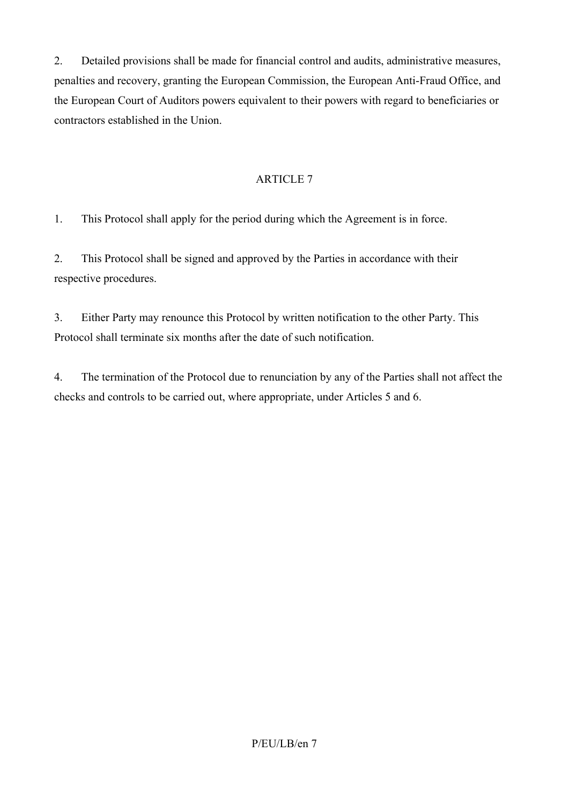2. Detailed provisions shall be made for financial control and audits, administrative measures, penalties and recovery, granting the European Commission, the European Anti-Fraud Office, and the European Court of Auditors powers equivalent to their powers with regard to beneficiaries or contractors established in the Union.

# ARTICLE 7

1. This Protocol shall apply for the period during which the Agreement is in force.

2. This Protocol shall be signed and approved by the Parties in accordance with their respective procedures.

3. Either Party may renounce this Protocol by written notification to the other Party. This Protocol shall terminate six months after the date of such notification.

4. The termination of the Protocol due to renunciation by any of the Parties shall not affect the checks and controls to be carried out, where appropriate, under Articles 5 and 6.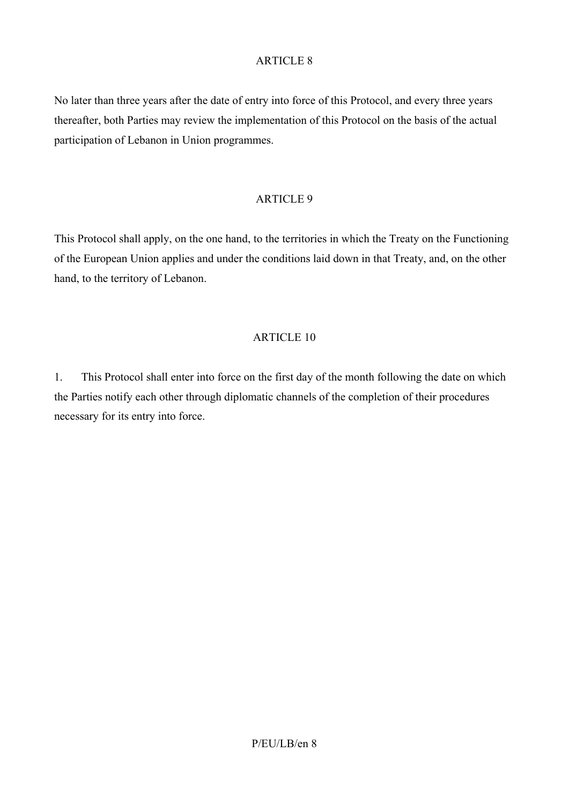#### ARTICLE 8

No later than three years after the date of entry into force of this Protocol, and every three years thereafter, both Parties may review the implementation of this Protocol on the basis of the actual participation of Lebanon in Union programmes.

#### ARTICLE 9

This Protocol shall apply, on the one hand, to the territories in which the Treaty on the Functioning of the European Union applies and under the conditions laid down in that Treaty, and, on the other hand, to the territory of Lebanon.

### ARTICLE 10

1. This Protocol shall enter into force on the first day of the month following the date on which the Parties notify each other through diplomatic channels of the completion of their procedures necessary for its entry into force.